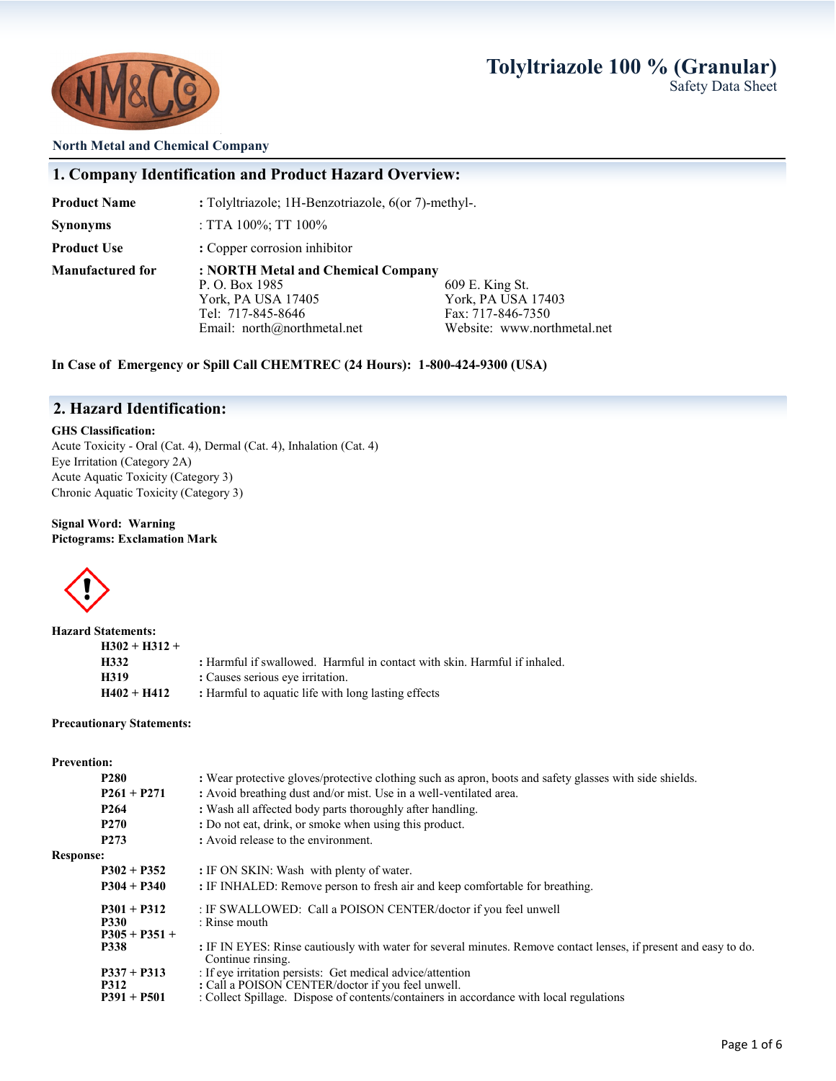## **Tolyltriazole 100 % (Granular)** Safety Data Sheet



#### **North Metal and Chemical Company**

## **1. Company Identification and Product Hazard Overview:**

**Product Name : Tolyltriazole; 1H-Benzotriazole, 6(or 7)-methyl-.** 

**Synonyms** : TTA 100%; TT 100%

**Product Use** : **Copper corrosion inhibitor** 

**Manufactured for : NORTH Metal and Chemical Company**

P. O. Box 1985 609 E. King St.<br>
York, PA USA 17405 609 E. King St. York, PA USA 17405<br>
Tel: 717-845-8646<br>
Fax: 717-846-7350 Fax: 717-846-7350 Email: north@northmetal.net Website: www.northmetal.net

**In Case of Emergency or Spill Call CHEMTREC (24 Hours): 1-800-424-9300 (USA)**

## **2. Hazard Identification:**

#### **GHS Classification:**

Acute Toxicity - Oral (Cat. 4), Dermal (Cat. 4), Inhalation (Cat. 4) Eye Irritation (Category 2A) Acute Aquatic Toxicity (Category 3) Chronic Aquatic Toxicity (Category 3)

#### **Signal Word: Warning Pictograms: Exclamation Mark**



| <b>Hazard Statements:</b> |                                                                           |
|---------------------------|---------------------------------------------------------------------------|
| $H302 + H312 +$           |                                                                           |
| H332                      | : Harmful if swallowed. Harmful in contact with skin. Harmful if inhaled. |
| H319                      | : Causes serious eye irritation.                                          |
| $H402 + H412$             | : Harmful to aquatic life with long lasting effects                       |

#### **Precautionary Statements:**

#### **Prevention:**

|                  | P <sub>280</sub> | : Wear protective gloves/protective clothing such as apron, boots and safety glasses with side shields.                               |
|------------------|------------------|---------------------------------------------------------------------------------------------------------------------------------------|
|                  | $P261 + P271$    | : Avoid breathing dust and/or mist. Use in a well-ventilated area.                                                                    |
|                  | P <sub>264</sub> | : Wash all affected body parts thoroughly after handling.                                                                             |
|                  | <b>P270</b>      | : Do not eat, drink, or smoke when using this product.                                                                                |
|                  | P <sub>273</sub> | : Avoid release to the environment.                                                                                                   |
| <b>Response:</b> |                  |                                                                                                                                       |
|                  | $P302 + P352$    | : IF ON SKIN: Wash with plenty of water.                                                                                              |
|                  | $P304 + P340$    | : IF INHALED: Remove person to fresh air and keep comfortable for breathing.                                                          |
|                  | $P301 + P312$    | : IF SWALLOWED: Call a POISON CENTER/doctor if you feel unwell                                                                        |
|                  | <b>P330</b>      | : Rinse mouth                                                                                                                         |
|                  | $P305 + P351 +$  |                                                                                                                                       |
|                  | <b>P338</b>      | : IF IN EYES: Rinse cautiously with water for several minutes. Remove contact lenses, if present and easy to do.<br>Continue rinsing. |
|                  | $P337 + P313$    | : If eye irritation persists: Get medical advice/attention                                                                            |
|                  | <b>P312</b>      | : Call a POISON CENTER/doctor if you feel unwell.                                                                                     |
|                  | $P391 + P501$    | : Collect Spillage. Dispose of contents/containers in accordance with local regulations                                               |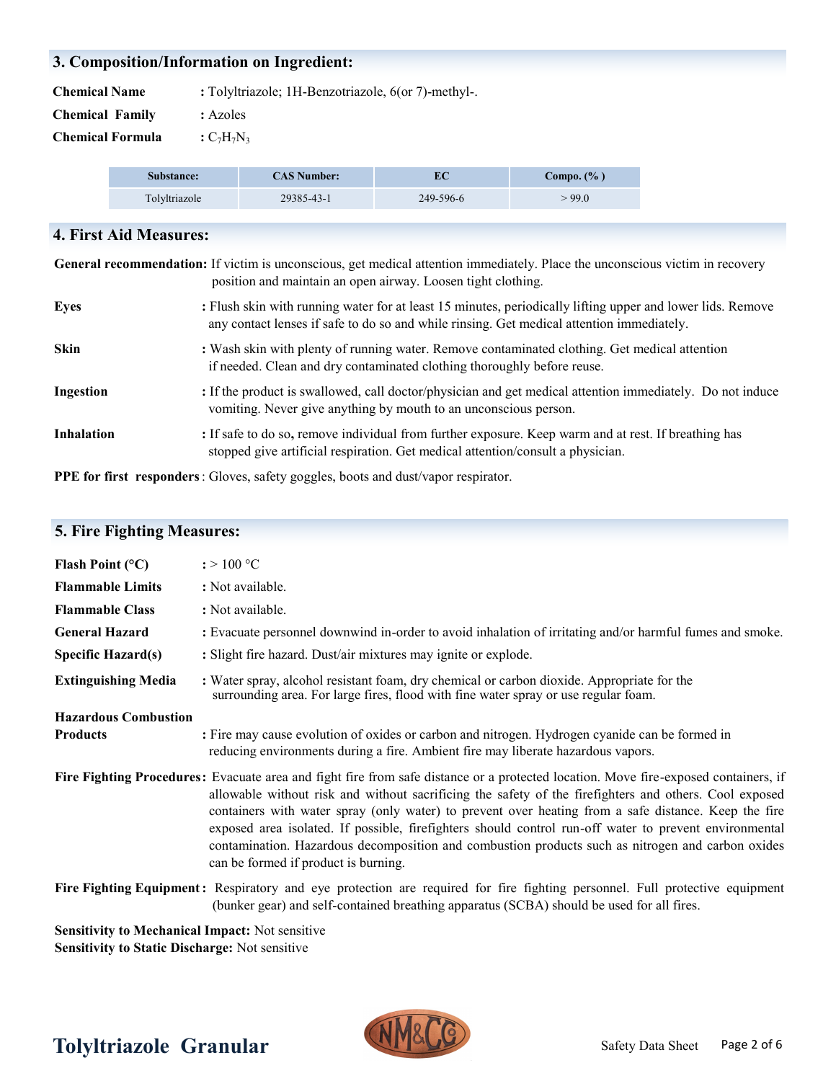# **3. Composition/Information on Ingredient:**

**Chemical Name** : Tolyltriazole; 1H-Benzotriazole, 6(or 7)-methyl-.

**Chemical Family :** Azoles

**Chemical Formula**  $:C_7H_7N_3$ 

| Substance:    | <b>CAS Number:</b> | EС        | Compo. (% ) |
|---------------|--------------------|-----------|-------------|
| Tolvltriazole | 29385-43-1         | 249-596-6 | >99.0       |

## **4. First Aid Measures:**

**General recommendation:** If victim is unconscious, get medical attention immediately. Place the unconscious victim in recovery position and maintain an open airway. Loosen tight clothing.

| <b>Eyes</b>       | : Flush skin with running water for at least 15 minutes, periodically lifting upper and lower lids. Remove<br>any contact lenses if safe to do so and while rinsing. Get medical attention immediately. |
|-------------------|---------------------------------------------------------------------------------------------------------------------------------------------------------------------------------------------------------|
| Skin              | : Wash skin with plenty of running water. Remove contaminated clothing. Get medical attention<br>if needed. Clean and dry contaminated clothing thoroughly before reuse.                                |
| Ingestion         | : If the product is swallowed, call doctor/physician and get medical attention immediately. Do not induce<br>vomiting. Never give anything by mouth to an unconscious person.                           |
| <b>Inhalation</b> | : If safe to do so, remove individual from further exposure. Keep warm and at rest. If breathing has<br>stopped give artificial respiration. Get medical attention/consult a physician.                 |

**PPE for first responders**: Gloves, safety goggles, boots and dust/vapor respirator.

# **5. Fire Fighting Measures:**

| Flash Point $(^{\circ}C)$                              | $\div 100$ °C                                                                                                                                                                                                                                                                                                                                                                                                                                                                                                                                                                                                |
|--------------------------------------------------------|--------------------------------------------------------------------------------------------------------------------------------------------------------------------------------------------------------------------------------------------------------------------------------------------------------------------------------------------------------------------------------------------------------------------------------------------------------------------------------------------------------------------------------------------------------------------------------------------------------------|
| <b>Flammable Limits</b>                                | : Not available.                                                                                                                                                                                                                                                                                                                                                                                                                                                                                                                                                                                             |
| <b>Flammable Class</b>                                 | : Not available.                                                                                                                                                                                                                                                                                                                                                                                                                                                                                                                                                                                             |
| <b>General Hazard</b>                                  | : Evacuate personnel downwind in-order to avoid inhalation of irritating and/or harmful fumes and smoke.                                                                                                                                                                                                                                                                                                                                                                                                                                                                                                     |
| <b>Specific Hazard(s)</b>                              | : Slight fire hazard. Dust/air mixtures may ignite or explode.                                                                                                                                                                                                                                                                                                                                                                                                                                                                                                                                               |
| <b>Extinguishing Media</b>                             | : Water spray, alcohol resistant foam, dry chemical or carbon dioxide. Appropriate for the<br>surrounding area. For large fires, flood with fine water spray or use regular foam.                                                                                                                                                                                                                                                                                                                                                                                                                            |
| <b>Hazardous Combustion</b>                            |                                                                                                                                                                                                                                                                                                                                                                                                                                                                                                                                                                                                              |
| <b>Products</b>                                        | : Fire may cause evolution of oxides or carbon and nitrogen. Hydrogen cyanide can be formed in<br>reducing environments during a fire. Ambient fire may liberate hazardous vapors.                                                                                                                                                                                                                                                                                                                                                                                                                           |
|                                                        | Fire Fighting Procedures: Evacuate area and fight fire from safe distance or a protected location. Move fire-exposed containers, if<br>allowable without risk and without sacrificing the safety of the firefighters and others. Cool exposed<br>containers with water spray (only water) to prevent over heating from a safe distance. Keep the fire<br>exposed area isolated. If possible, firefighters should control run-off water to prevent environmental<br>contamination. Hazardous decomposition and combustion products such as nitrogen and carbon oxides<br>can be formed if product is burning. |
|                                                        | Fire Fighting Equipment: Respiratory and eye protection are required for fire fighting personnel. Full protective equipment<br>(bunker gear) and self-contained breathing apparatus (SCBA) should be used for all fires.                                                                                                                                                                                                                                                                                                                                                                                     |
| <b>Sensitivity to Mechanical Impact:</b> Not sensitive |                                                                                                                                                                                                                                                                                                                                                                                                                                                                                                                                                                                                              |

**Sensitivity to Static Discharge:** Not sensitive

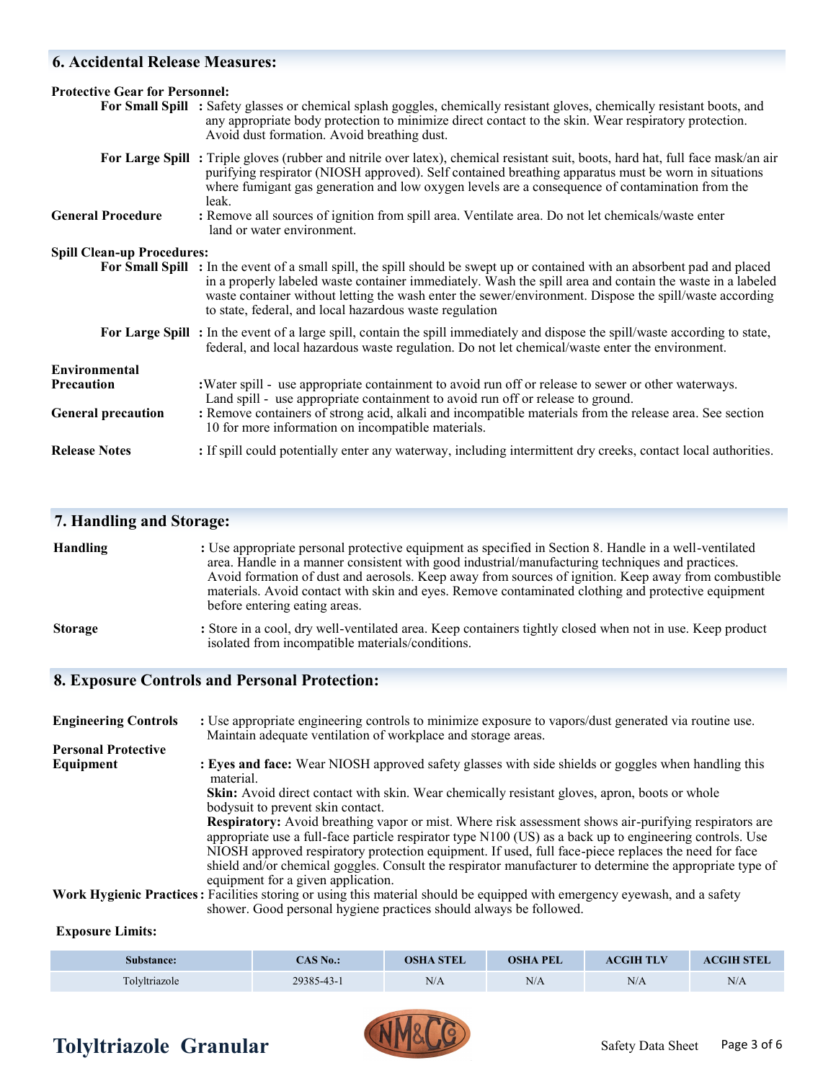# **6. Accidental Release Measures:**

| <b>Protective Gear for Personnel:</b> |                                                                                                                                                                                                                                                                                                                                                                                                                |  |
|---------------------------------------|----------------------------------------------------------------------------------------------------------------------------------------------------------------------------------------------------------------------------------------------------------------------------------------------------------------------------------------------------------------------------------------------------------------|--|
|                                       | For Small Spill : Safety glasses or chemical splash goggles, chemically resistant gloves, chemically resistant boots, and<br>any appropriate body protection to minimize direct contact to the skin. Wear respiratory protection.<br>Avoid dust formation. Avoid breathing dust.                                                                                                                               |  |
|                                       | For Large Spill: Triple gloves (rubber and nitrile over latex), chemical resistant suit, boots, hard hat, full face mask/an air<br>purifying respirator (NIOSH approved). Self contained breathing apparatus must be worn in situations<br>where fumigant gas generation and low oxygen levels are a consequence of contamination from the<br>leak.                                                            |  |
| <b>General Procedure</b>              | : Remove all sources of ignition from spill area. Ventilate area. Do not let chemicals/waste enter<br>land or water environment.                                                                                                                                                                                                                                                                               |  |
| <b>Spill Clean-up Procedures:</b>     |                                                                                                                                                                                                                                                                                                                                                                                                                |  |
|                                       | For Small Spill : In the event of a small spill, the spill should be swept up or contained with an absorbent pad and placed<br>in a properly labeled waste container immediately. Wash the spill area and contain the waste in a labeled<br>waste container without letting the wash enter the sewer/environment. Dispose the spill/waste according<br>to state, federal, and local hazardous waste regulation |  |
|                                       | For Large Spill: In the event of a large spill, contain the spill immediately and dispose the spill/waste according to state,<br>federal, and local hazardous waste regulation. Do not let chemical/waste enter the environment.                                                                                                                                                                               |  |
| <b>Environmental</b>                  |                                                                                                                                                                                                                                                                                                                                                                                                                |  |
| <b>Precaution</b>                     | : Water spill - use appropriate containment to avoid run off or release to sewer or other waterways.<br>Land spill - use appropriate containment to avoid run off or release to ground.                                                                                                                                                                                                                        |  |
| <b>General precaution</b>             | : Remove containers of strong acid, alkali and incompatible materials from the release area. See section<br>10 for more information on incompatible materials.                                                                                                                                                                                                                                                 |  |
| <b>Release Notes</b>                  | : If spill could potentially enter any waterway, including intermittent dry creeks, contact local authorities.                                                                                                                                                                                                                                                                                                 |  |

|  | <b>7. Handling and Storage:</b> |  |  |
|--|---------------------------------|--|--|
|--|---------------------------------|--|--|

| <b>Handling</b> | : Use appropriate personal protective equipment as specified in Section 8. Handle in a well-ventilated<br>area. Handle in a manner consistent with good industrial/manufacturing techniques and practices.<br>Avoid formation of dust and aerosols. Keep away from sources of ignition. Keep away from combustible<br>materials. Avoid contact with skin and eyes. Remove contaminated clothing and protective equipment<br>before entering eating areas. |
|-----------------|-----------------------------------------------------------------------------------------------------------------------------------------------------------------------------------------------------------------------------------------------------------------------------------------------------------------------------------------------------------------------------------------------------------------------------------------------------------|
| <b>Storage</b>  | : Store in a cool, dry well-ventilated area. Keep containers tightly closed when not in use. Keep product<br>isolated from incompatible materials/conditions.                                                                                                                                                                                                                                                                                             |

# **8. Exposure Controls and Personal Protection:**

| <b>Engineering Controls</b> | : Use appropriate engineering controls to minimize exposure to vapors/dust generated via routine use.<br>Maintain adequate ventilation of workplace and storage areas.                                                                                                                                                                                                                                                                       |
|-----------------------------|----------------------------------------------------------------------------------------------------------------------------------------------------------------------------------------------------------------------------------------------------------------------------------------------------------------------------------------------------------------------------------------------------------------------------------------------|
| <b>Personal Protective</b>  |                                                                                                                                                                                                                                                                                                                                                                                                                                              |
| Equipment                   | : Eyes and face: Wear NIOSH approved safety glasses with side shields or goggles when handling this<br>material.                                                                                                                                                                                                                                                                                                                             |
|                             | Skin: Avoid direct contact with skin. Wear chemically resistant gloves, apron, boots or whole<br>bodysuit to prevent skin contact.                                                                                                                                                                                                                                                                                                           |
|                             | <b>Respiratory:</b> Avoid breathing vapor or mist. Where risk assessment shows air-purifying respirators are<br>appropriate use a full-face particle respirator type N100 (US) as a back up to engineering controls. Use<br>NIOSH approved respiratory protection equipment. If used, full face-piece replaces the need for face<br>shield and/or chemical goggles. Consult the respirator manufacturer to determine the appropriate type of |
|                             | equipment for a given application.<br>Work Hygienic Practices: Facilities storing or using this material should be equipped with emergency eyewash, and a safety<br>shower. Good personal hygiene practices should always be followed.                                                                                                                                                                                                       |

## **Exposure Limits:**

| Substance:    | $CAS$ No.: | <b>OSHA STEL</b> | <b>OSHA PEL</b> | <b>ACGIH TLV</b> | <b>ACGIH STEL</b> |
|---------------|------------|------------------|-----------------|------------------|-------------------|
| Tolvltriazole | 29385-43-1 | N/A              | N/A             | N/A              | N/A               |

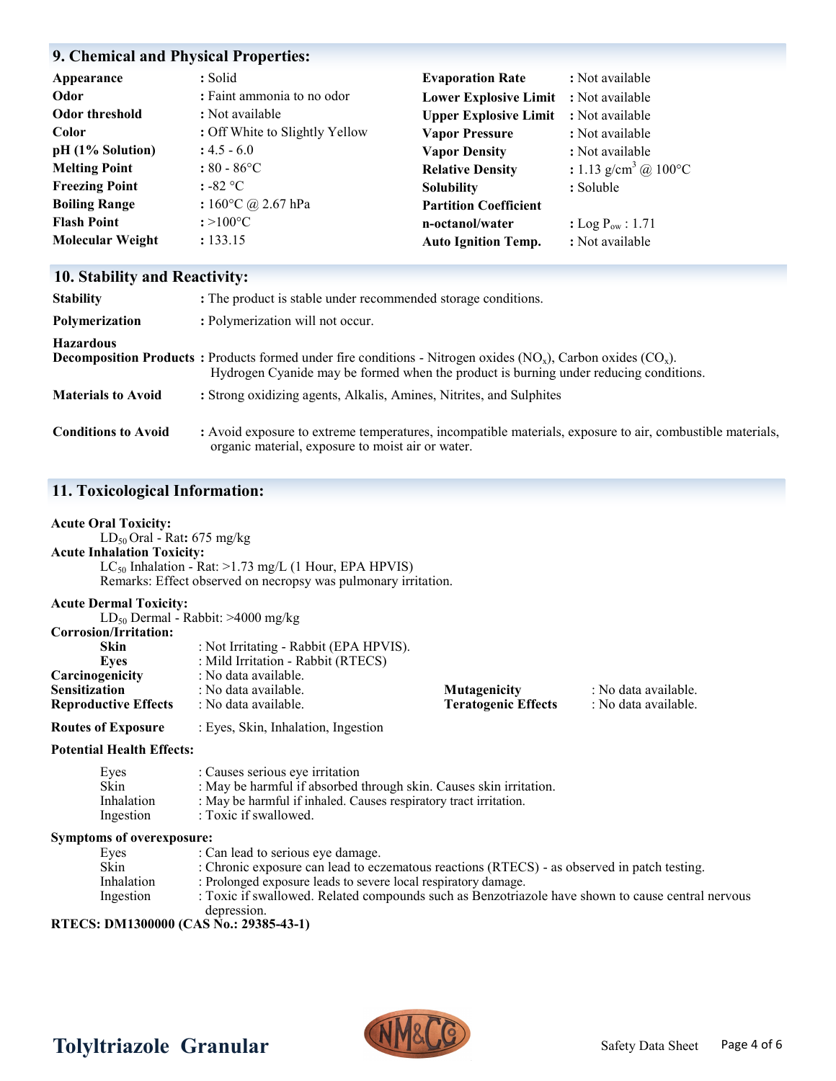### **9. Chemical and Physical Properties:**

| Appearance              | : Solid                        | <b>Evaporation Rate</b>      | : Not available                             |
|-------------------------|--------------------------------|------------------------------|---------------------------------------------|
| Odor                    | : Faint ammonia to no odor     | <b>Lower Explosive Limit</b> | : Not available                             |
| Odor threshold          | : Not available                | <b>Upper Explosive Limit</b> | : Not available                             |
| <b>Color</b>            | : Off White to Slightly Yellow | <b>Vapor Pressure</b>        | : Not available                             |
| pH (1% Solution)        | $: 4.5 - 6.0$                  | <b>Vapor Density</b>         | : Not available                             |
| <b>Melting Point</b>    | $: 80 - 86^{\circ}C$           | <b>Relative Density</b>      | : 1.13 g/cm <sup>3</sup> @ 100 $^{\circ}$ C |
| <b>Freezing Point</b>   | $: -82$ °C                     | <b>Solubility</b>            | : Soluble                                   |
| <b>Boiling Range</b>    | : $160^{\circ}$ C @ 2.67 hPa   | <b>Partition Coefficient</b> |                                             |
| <b>Flash Point</b>      | $: >100^{\circ}C$              | n-octanol/water              | : Log $P_{\text{ow}}$ : 1.71                |
| <b>Molecular Weight</b> | : 133.15                       | <b>Auto Ignition Temp.</b>   | : Not available                             |

## **10. Stability and Reactivity:**

| <b>Stability</b>           | : The product is stable under recommended storage conditions.                                                                                                                                                        |
|----------------------------|----------------------------------------------------------------------------------------------------------------------------------------------------------------------------------------------------------------------|
| Polymerization             | : Polymerization will not occur.                                                                                                                                                                                     |
| <b>Hazardous</b>           | <b>Decomposition Products :</b> Products formed under fire conditions - Nitrogen oxides $(NO_x)$ , Carbon oxides $(CO_x)$ .<br>Hydrogen Cyanide may be formed when the product is burning under reducing conditions. |
| <b>Materials to Avoid</b>  | : Strong oxidizing agents, Alkalis, Amines, Nitrites, and Sulphites                                                                                                                                                  |
| <b>Conditions to Avoid</b> | : Avoid exposure to extreme temperatures, incompatible materials, exposure to air, combustible materials,<br>organic material, exposure to moist air or water.                                                       |

### **11. Toxicological Information:**

#### **Acute Oral Toxicity:**

LD50 Oral - Rat**:** 675 mg/kg **Acute Inhalation Toxicity:**

 $LC_{50}$  Inhalation - Rat: >1.73 mg/L (1 Hour, EPA HPVIS) Remarks: Effect observed on necropsy was pulmonary irritation.

#### **Acute Dermal Toxicity:**

|                             | $LD_{50}$ Dermal - Rabbit: >4000 mg/kg                              |                            |                      |
|-----------------------------|---------------------------------------------------------------------|----------------------------|----------------------|
| Corrosion/Irritation:       |                                                                     |                            |                      |
| <b>Skin</b>                 | : Not Irritating - Rabbit (EPA HPVIS).                              |                            |                      |
| Eves                        | : Mild Irritation - Rabbit (RTECS)                                  |                            |                      |
| Carcinogenicity             | : No data available.                                                |                            |                      |
| <b>Sensitization</b>        | : No data available.<br>: No data available.<br><b>Mutagenicity</b> |                            |                      |
| <b>Reproductive Effects</b> | : No data available.                                                | <b>Teratogenic Effects</b> | : No data available. |
|                             |                                                                     |                            |                      |

**Routes of Exposure** : Eyes, Skin, Inhalation, Ingestion

**Potential Health Effects:**

| Eyes                                                                              | : Causes serious eye irritation                                    |
|-----------------------------------------------------------------------------------|--------------------------------------------------------------------|
| Skin                                                                              | : May be harmful if absorbed through skin. Causes skin irritation. |
| Inhalation                                                                        | : May be harmful if inhaled. Causes respiratory tract irritation.  |
| Ingestion                                                                         | : Toxic if swallowed.                                              |
| $\mathbf{r}$ , and $\mathbf{r}$ is a set of $\mathbf{r}$ is a set of $\mathbf{r}$ |                                                                    |

#### **Symptoms of overexposure:**

Eyes : Can lead to serious eye damage.<br>Skin : Chronic exposure can lead to eca Skin : Chronic exposure can lead to eczematous reactions (RTECS) - as observed in patch testing.<br>Inhalation : Prolonged exposure leads to severe local respiratory damage. Inhalation : Prolonged exposure leads to severe local respiratory damage.<br>Ingestion : Toxic if swallowed. Related compounds such as Benzotriaz : Toxic if swallowed. Related compounds such as Benzotriazole have shown to cause central nervous depression.

**RTECS: DM1300000 (CAS No.: 29385-43-1)**



# Tolyltriazole Granular **MMALLY** Safety Data Sheet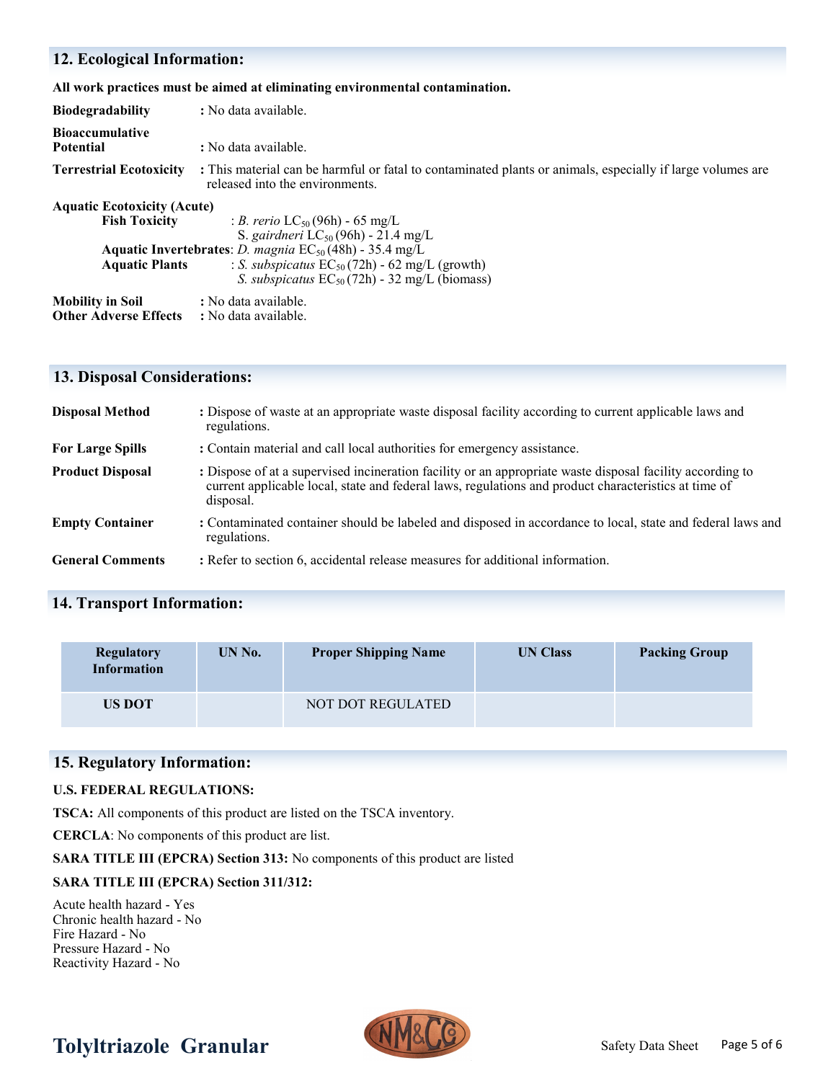## **12. Ecological Information:**

**All work practices must be aimed at eliminating environmental contamination.** 

| <b>Biodegradability</b>                                                             | : No data available.                                                                                                                                                                                                                                                          |  |  |
|-------------------------------------------------------------------------------------|-------------------------------------------------------------------------------------------------------------------------------------------------------------------------------------------------------------------------------------------------------------------------------|--|--|
| <b>Bioaccumulative</b><br><b>Potential</b>                                          | : No data available.                                                                                                                                                                                                                                                          |  |  |
| <b>Terrestrial Ecotoxicity</b>                                                      | : This material can be harmful or fatal to contaminated plants or animals, especially if large volumes are<br>released into the environments.                                                                                                                                 |  |  |
| <b>Aquatic Ecotoxicity (Acute)</b><br><b>Fish Toxicity</b><br><b>Aquatic Plants</b> | : <i>B. rerio</i> $LC_{50}(96h)$ - 65 mg/L<br>S. gairdneri $LC_{50}(96h)$ - 21.4 mg/L<br><b>Aquatic Invertebrates:</b> <i>D. magnia</i> $EC_{50}(48h)$ - 35.4 mg/L<br>: S. subspicatus $EC_{50}(72h)$ - 62 mg/L (growth)<br>S. subspicatus $EC_{50}(72h)$ - 32 mg/L (biomass) |  |  |
| <b>Mobility in Soil</b><br><b>Other Adverse Effects</b>                             | : No data available.<br>: No data available.                                                                                                                                                                                                                                  |  |  |

# **13. Disposal Considerations:**

| <b>Disposal Method</b>  | : Dispose of waste at an appropriate waste disposal facility according to current applicable laws and<br>regulations.                                                                                                          |
|-------------------------|--------------------------------------------------------------------------------------------------------------------------------------------------------------------------------------------------------------------------------|
| <b>For Large Spills</b> | : Contain material and call local authorities for emergency assistance.                                                                                                                                                        |
| <b>Product Disposal</b> | : Dispose of at a supervised incineration facility or an appropriate waste disposal facility according to<br>current applicable local, state and federal laws, regulations and product characteristics at time of<br>disposal. |
| <b>Empty Container</b>  | : Contaminated container should be labeled and disposed in accordance to local, state and federal laws and<br>regulations.                                                                                                     |
| <b>General Comments</b> | : Refer to section 6, accidental release measures for additional information.                                                                                                                                                  |

# **14. Transport Information:**

| <b>Regulatory</b><br><b>Information</b> | UN No. | <b>Proper Shipping Name</b> | <b>UN Class</b> | <b>Packing Group</b> |
|-----------------------------------------|--------|-----------------------------|-----------------|----------------------|
| <b>US DOT</b>                           |        | NOT DOT REGULATED           |                 |                      |

# **15. Regulatory Information:**

#### **U.S. FEDERAL REGULATIONS:**

**TSCA:** All components of this product are listed on the TSCA inventory.

**CERCLA**: No components of this product are list.

**SARA TITLE III (EPCRA) Section 313:** No components of this product are listed

### **SARA TITLE III (EPCRA) Section 311/312:**

Acute health hazard - Yes Chronic health hazard - No Fire Hazard - No Pressure Hazard - No Reactivity Hazard - No



# Tolyltriazole Granular **MMALLY** Safety Data Sheet